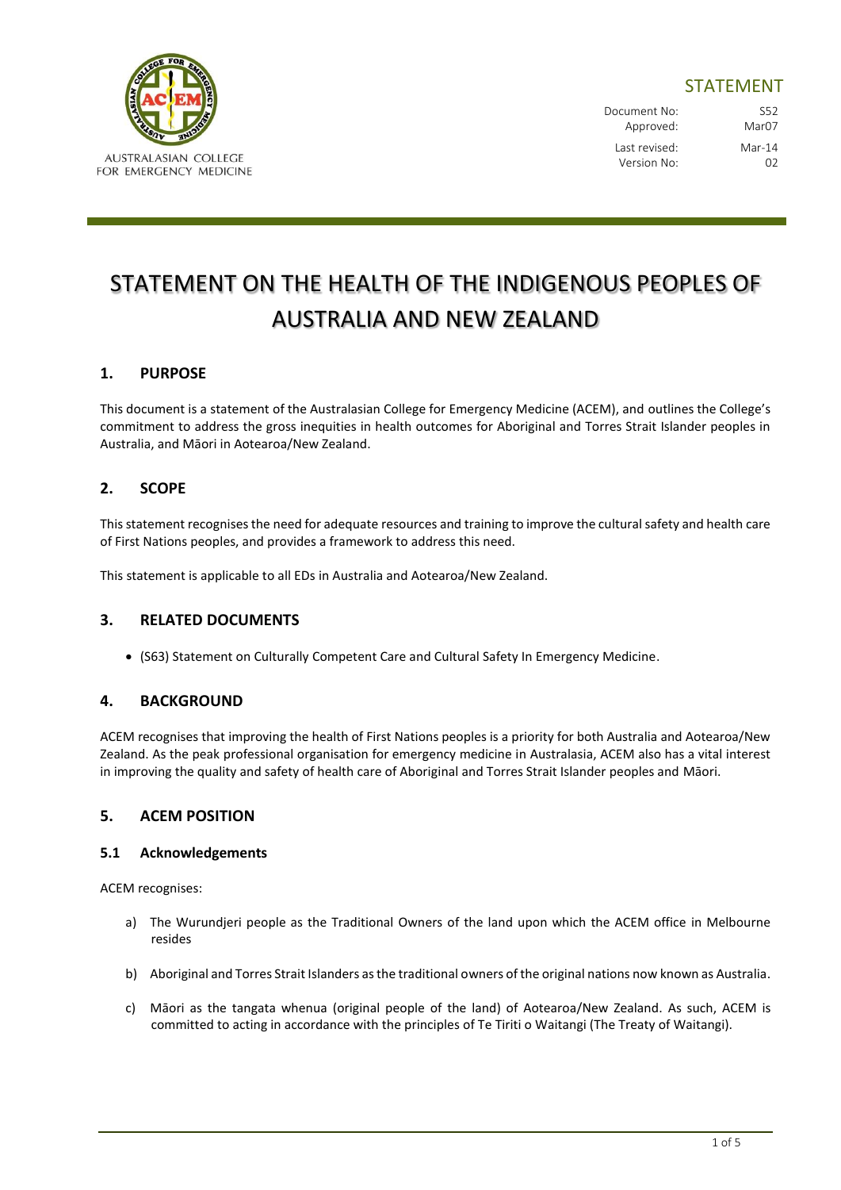

# STATEMENT

Document No: S52 Approved: Mar07 Last revised: Mar-14 Version No: 02

# STATEMENT ON THE HEALTH OF THE INDIGENOUS PEOPLES OF AUSTRALIA AND NEW ZEALAND

# **1. PURPOSE**

This document is a statement of the Australasian College for Emergency Medicine (ACEM), and outlines the College's commitment to address the gross inequities in health outcomes for Aboriginal and Torres Strait Islander peoples in Australia, and Māori in Aotearoa/New Zealand.

# **2. SCOPE**

This statement recognises the need for adequate resources and training to improve the cultural safety and health care of First Nations peoples, and provides a framework to address this need.

This statement is applicable to all EDs in Australia and Aotearoa/New Zealand.

## **3. RELATED DOCUMENTS**

(S63) Statement on Culturally Competent Care and Cultural Safety In Emergency Medicine.

#### **4. BACKGROUND**

ACEM recognises that improving the health of First Nations peoples is a priority for both Australia and Aotearoa/New Zealand. As the peak professional organisation for emergency medicine in Australasia, ACEM also has a vital interest in improving the quality and safety of health care of Aboriginal and Torres Strait Islander peoples and Māori.

#### **5. ACEM POSITION**

#### **5.1 Acknowledgements**

ACEM recognises:

- a) The Wurundjeri people as the Traditional Owners of the land upon which the ACEM office in Melbourne resides
- b) Aboriginal and Torres Strait Islanders as the traditional owners of the original nations now known as Australia.
- c) Māori as the tangata whenua (original people of the land) of Aotearoa/New Zealand. As such, ACEM is committed to acting in accordance with the principles of Te Tiriti o Waitangi (The Treaty of Waitangi).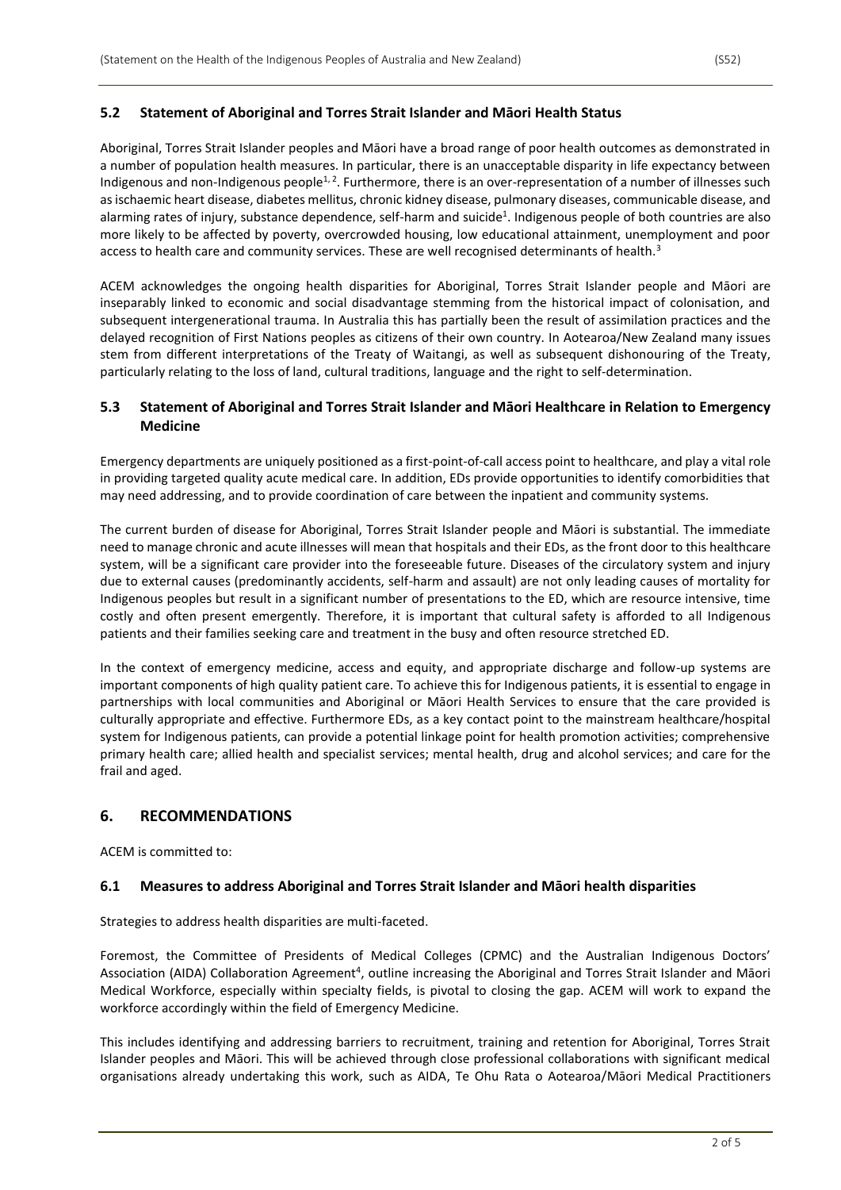#### **5.2 Statement of Aboriginal and Torres Strait Islander and Māori Health Status**

Aboriginal, Torres Strait Islander peoples and Māori have a broad range of poor health outcomes as demonstrated in a number of population health measures. In particular, there is an unacceptable disparity in life expectancy between Indigenous and non-Indigenous people<sup>1, 2</sup>. Furthermore, there is an over-representation of a number of illnesses such as ischaemic heart disease, diabetes mellitus, chronic kidney disease, pulmonary diseases, communicable disease, and alarming rates of injury, substance dependence, self-harm and suicide<sup>1</sup>. Indigenous people of both countries are also more likely to be affected by poverty, overcrowded housing, low educational attainment, unemployment and poor access to health care and community services. These are well recognised determinants of health.<sup>3</sup>

ACEM acknowledges the ongoing health disparities for Aboriginal, Torres Strait Islander people and Māori are inseparably linked to economic and social disadvantage stemming from the historical impact of colonisation, and subsequent intergenerational trauma. In Australia this has partially been the result of assimilation practices and the delayed recognition of First Nations peoples as citizens of their own country. In Aotearoa/New Zealand many issues stem from different interpretations of the Treaty of Waitangi, as well as subsequent dishonouring of the Treaty, particularly relating to the loss of land, cultural traditions, language and the right to self-determination.

#### **5.3 Statement of Aboriginal and Torres Strait Islander and Māori Healthcare in Relation to Emergency Medicine**

Emergency departments are uniquely positioned as a first-point-of-call access point to healthcare, and play a vital role in providing targeted quality acute medical care. In addition, EDs provide opportunities to identify comorbidities that may need addressing, and to provide coordination of care between the inpatient and community systems.

The current burden of disease for Aboriginal, Torres Strait Islander people and Māori is substantial. The immediate need to manage chronic and acute illnesses will mean that hospitals and their EDs, as the front door to this healthcare system, will be a significant care provider into the foreseeable future. Diseases of the circulatory system and injury due to external causes (predominantly accidents, self-harm and assault) are not only leading causes of mortality for Indigenous peoples but result in a significant number of presentations to the ED, which are resource intensive, time costly and often present emergently. Therefore, it is important that cultural safety is afforded to all Indigenous patients and their families seeking care and treatment in the busy and often resource stretched ED.

In the context of emergency medicine, access and equity, and appropriate discharge and follow-up systems are important components of high quality patient care. To achieve this for Indigenous patients, it is essential to engage in partnerships with local communities and Aboriginal or Māori Health Services to ensure that the care provided is culturally appropriate and effective. Furthermore EDs, as a key contact point to the mainstream healthcare/hospital system for Indigenous patients, can provide a potential linkage point for health promotion activities; comprehensive primary health care; allied health and specialist services; mental health, drug and alcohol services; and care for the frail and aged.

## **6. RECOMMENDATIONS**

ACEM is committed to:

#### **6.1 Measures to address Aboriginal and Torres Strait Islander and Māori health disparities**

Strategies to address health disparities are multi-faceted.

Foremost, the Committee of Presidents of Medical Colleges (CPMC) and the Australian Indigenous Doctors' Association (AIDA) Collaboration Agreement<sup>4</sup>, outline increasing the Aboriginal and Torres Strait Islander and Māori Medical Workforce, especially within specialty fields, is pivotal to closing the gap. ACEM will work to expand the workforce accordingly within the field of Emergency Medicine.

This includes identifying and addressing barriers to recruitment, training and retention for Aboriginal, Torres Strait Islander peoples and Māori. This will be achieved through close professional collaborations with significant medical organisations already undertaking this work, such as AIDA, Te Ohu Rata o Aotearoa/Māori Medical Practitioners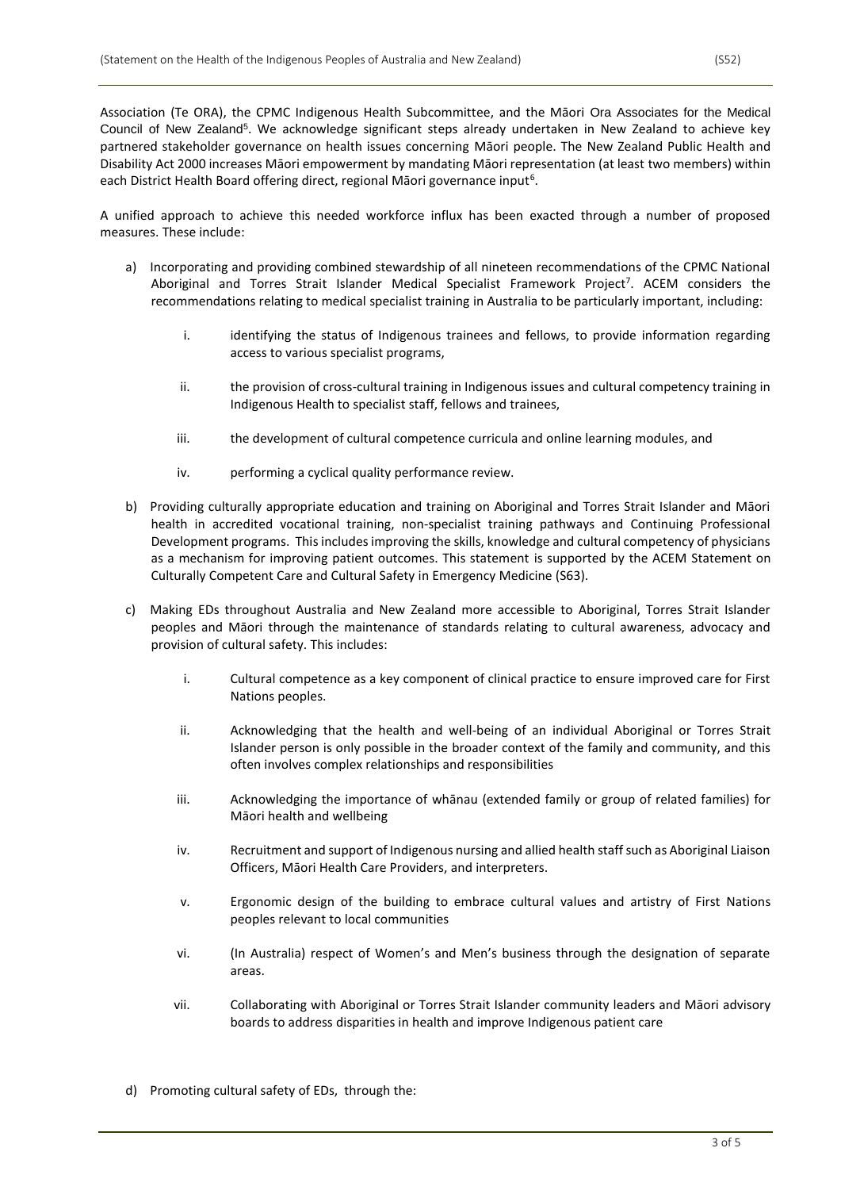Council of New Zealand<sup>5</sup>. We acknowledge significant steps already undertaken in New Zealand to achieve key partnered stakeholder governance on health issues concerning Māori people. The New Zealand Public Health and Disability Act 2000 increases Māori empowerment by mandating Māori representation (at least two members) within each District Health Board offering direct, regional Māori governance input<sup>6</sup>.

A unified approach to achieve this needed workforce influx has been exacted through a number of proposed measures. These include:

- a) Incorporating and providing combined stewardship of all nineteen recommendations of the CPMC National Aboriginal and Torres Strait Islander Medical Specialist Framework Project<sup>7</sup>. ACEM considers the recommendations relating to medical specialist training in Australia to be particularly important, including:
	- i. identifying the status of Indigenous trainees and fellows, to provide information regarding access to various specialist programs,
	- ii. the provision of cross-cultural training in Indigenous issues and cultural competency training in Indigenous Health to specialist staff, fellows and trainees,
	- iii. the development of cultural competence curricula and online learning modules, and
	- iv. performing a cyclical quality performance review.
- b) Providing culturally appropriate education and training on Aboriginal and Torres Strait Islander and Māori health in accredited vocational training, non-specialist training pathways and Continuing Professional Development programs. This includes improving the skills, knowledge and cultural competency of physicians as a mechanism for improving patient outcomes. This statement is supported by the ACEM Statement on Culturally Competent Care and Cultural Safety in Emergency Medicine (S63).
- c) Making EDs throughout Australia and New Zealand more accessible to Aboriginal, Torres Strait Islander peoples and Māori through the maintenance of standards relating to cultural awareness, advocacy and provision of cultural safety. This includes:
	- i. Cultural competence as a key component of clinical practice to ensure improved care for First Nations peoples.
	- ii. Acknowledging that the health and well-being of an individual Aboriginal or Torres Strait Islander person is only possible in the broader context of the family and community, and this often involves complex relationships and responsibilities
	- iii. Acknowledging the importance of whānau (extended family or group of related families) for Māori health and wellbeing
	- iv. Recruitment and support of Indigenous nursing and allied health staff such as Aboriginal Liaison Officers, Māori Health Care Providers, and interpreters.
	- v. Ergonomic design of the building to embrace cultural values and artistry of First Nations peoples relevant to local communities
	- vi. (In Australia) respect of Women's and Men's business through the designation of separate areas.
	- vii. Collaborating with Aboriginal or Torres Strait Islander community leaders and Māori advisory boards to address disparities in health and improve Indigenous patient care
- d) Promoting cultural safety of EDs, through the: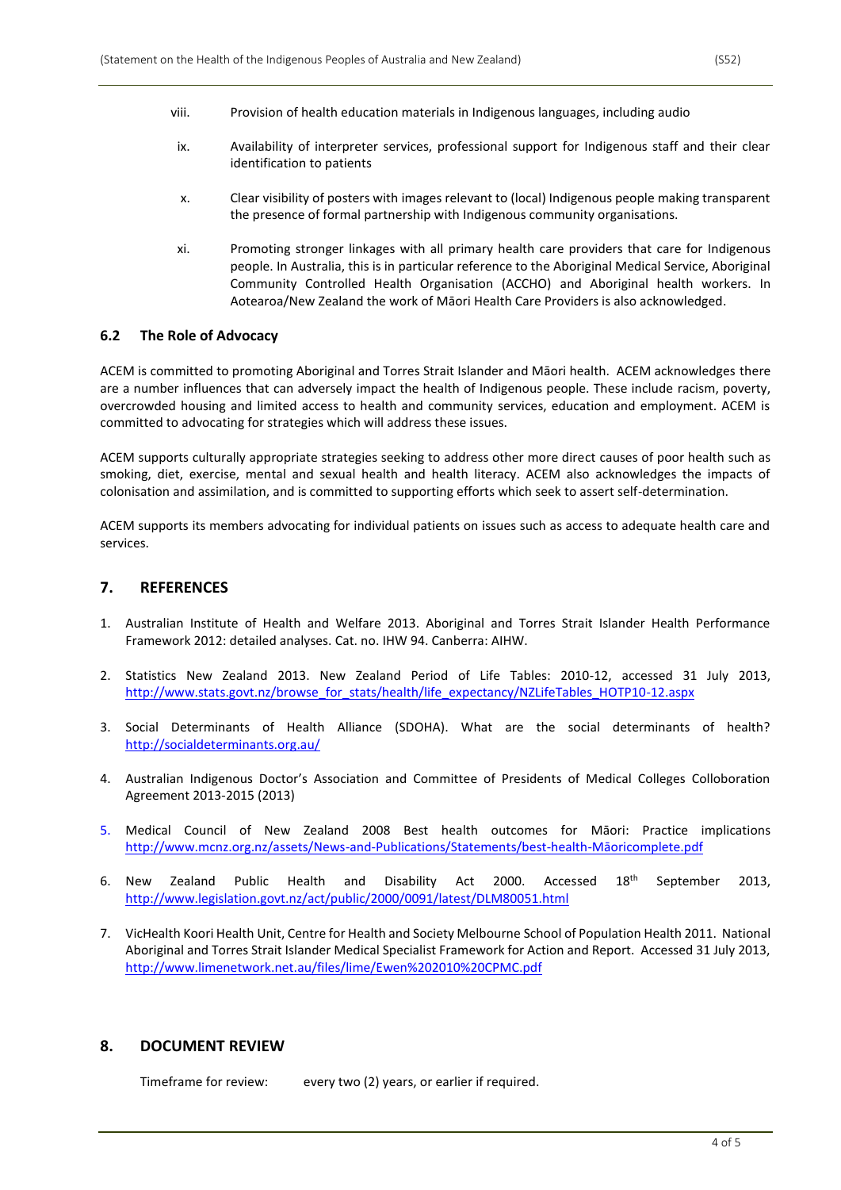- viii. Provision of health education materials in Indigenous languages, including audio
- ix. Availability of interpreter services, professional support for Indigenous staff and their clear identification to patients
- x. Clear visibility of posters with images relevant to (local) Indigenous people making transparent the presence of formal partnership with Indigenous community organisations.
- xi. Promoting stronger linkages with all primary health care providers that care for Indigenous people. In Australia, this is in particular reference to the Aboriginal Medical Service, Aboriginal Community Controlled Health Organisation (ACCHO) and Aboriginal health workers. In Aotearoa/New Zealand the work of Māori Health Care Providers is also acknowledged.

#### **6.2 The Role of Advocacy**

ACEM is committed to promoting Aboriginal and Torres Strait Islander and Māori health. ACEM acknowledges there are a number influences that can adversely impact the health of Indigenous people. These include racism, poverty, overcrowded housing and limited access to health and community services, education and employment. ACEM is committed to advocating for strategies which will address these issues.

ACEM supports culturally appropriate strategies seeking to address other more direct causes of poor health such as smoking, diet, exercise, mental and sexual health and health literacy. ACEM also acknowledges the impacts of colonisation and assimilation, and is committed to supporting efforts which seek to assert self-determination.

ACEM supports its members advocating for individual patients on issues such as access to adequate health care and services.

#### **7. REFERENCES**

- 1. Australian Institute of Health and Welfare 2013. Aboriginal and Torres Strait Islander Health Performance Framework 2012: detailed analyses. Cat. no. IHW 94. Canberra: AIHW.
- 2. Statistics New Zealand 2013. New Zealand Period of Life Tables: 2010-12, accessed 31 July 2013, [http://www.stats.govt.nz/browse\\_for\\_stats/health/life\\_expectancy/NZLifeTables\\_HOTP10-12.aspx](http://www.stats.govt.nz/browse_for_stats/health/life_expectancy/NZLifeTables_HOTP10-12.aspx)
- 3. Social Determinants of Health Alliance (SDOHA). What are the social determinants of health? <http://socialdeterminants.org.au/>
- 4. Australian Indigenous Doctor's Association and Committee of Presidents of Medical Colleges Colloboration Agreement 2013-2015 (2013)
- 5. Medical Council of New Zealand 2008 Best health outcomes for Māori: Practice implications [http://www.mcnz.org.nz/assets/News-and-Publications/Statements/best-health-](http://www.mcnz.org.nz/assets/News-and-Publications/Statements/best-health-maoricomplete.pdf)Māoricomplete.pdf
- 6. New Zealand Public Health and Disability Act 2000. Accessed 18th September 2013, <http://www.legislation.govt.nz/act/public/2000/0091/latest/DLM80051.html>
- 7. VicHealth Koori Health Unit, Centre for Health and Society Melbourne School of Population Health 2011. National Aboriginal and Torres Strait Islander Medical Specialist Framework for Action and Report. Accessed 31 July 2013, <http://www.limenetwork.net.au/files/lime/Ewen%202010%20CPMC.pdf>

#### **8. DOCUMENT REVIEW**

Timeframe for review: every two (2) years, or earlier if required.